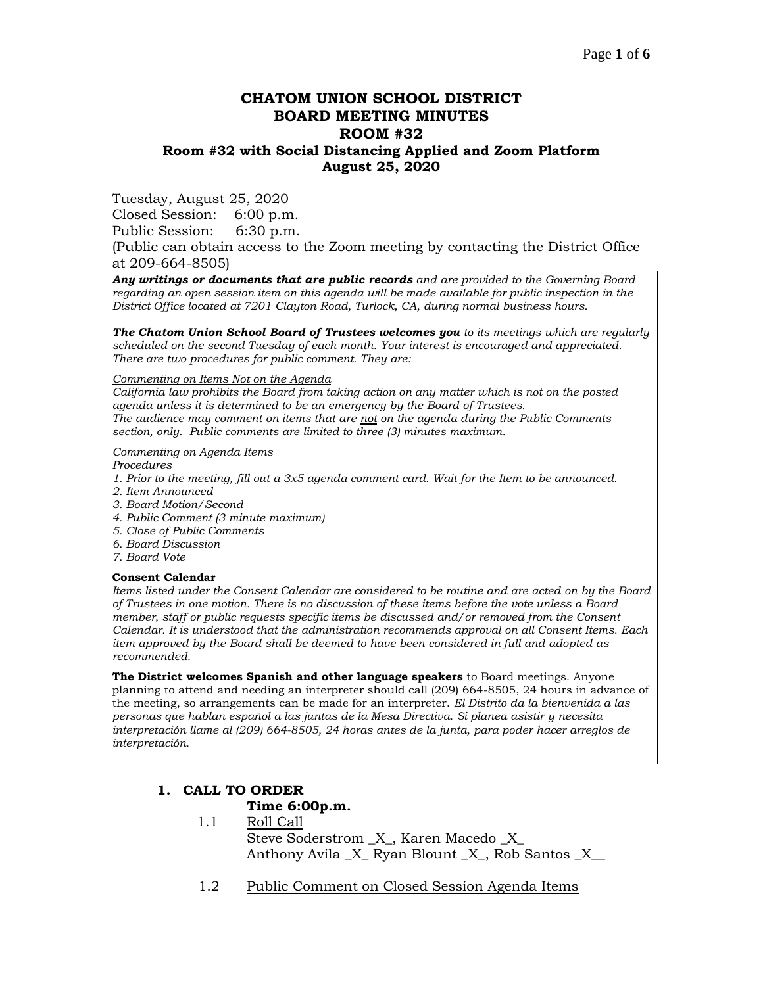# **CHATOM UNION SCHOOL DISTRICT BOARD MEETING MINUTES ROOM #32 Room #32 with Social Distancing Applied and Zoom Platform August 25, 2020**

Tuesday, August 25, 2020

Closed Session: 6:00 p.m. Public Session: 6:30 p.m.

(Public can obtain access to the Zoom meeting by contacting the District Office at 209-664-8505)

*Any writings or documents that are public records and are provided to the Governing Board regarding an open session item on this agenda will be made available for public inspection in the District Office located at 7201 Clayton Road, Turlock, CA, during normal business hours.*

*The Chatom Union School Board of Trustees welcomes you to its meetings which are regularly scheduled on the second Tuesday of each month. Your interest is encouraged and appreciated. There are two procedures for public comment. They are:*

*Commenting on Items Not on the Agenda*

*California law prohibits the Board from taking action on any matter which is not on the posted agenda unless it is determined to be an emergency by the Board of Trustees. The audience may comment on items that are not on the agenda during the Public Comments section, only. Public comments are limited to three (3) minutes maximum.*

#### *Commenting on Agenda Items*

*Procedures* 

- *1. Prior to the meeting, fill out a 3x5 agenda comment card. Wait for the Item to be announced.*
- *2. Item Announced*
- *3. Board Motion/Second*
- *4. Public Comment (3 minute maximum)*
- *5. Close of Public Comments*
- *6. Board Discussion*
- *7. Board Vote*

#### **Consent Calendar**

*Items listed under the Consent Calendar are considered to be routine and are acted on by the Board of Trustees in one motion. There is no discussion of these items before the vote unless a Board member, staff or public requests specific items be discussed and/or removed from the Consent Calendar. It is understood that the administration recommends approval on all Consent Items. Each item approved by the Board shall be deemed to have been considered in full and adopted as recommended.*

**The District welcomes Spanish and other language speakers** to Board meetings. Anyone planning to attend and needing an interpreter should call (209) 664-8505, 24 hours in advance of the meeting, so arrangements can be made for an interpreter. *El Distrito da la bienvenida a las personas que hablan español a las juntas de la Mesa Directiva. Si planea asistir y necesita interpretación llame al (209) 664-8505, 24 horas antes de la junta, para poder hacer arreglos de interpretación.*

# **1. CALL TO ORDER**

### **Time 6:00p.m.**

- 1.1 Roll Call Steve Soderstrom \_X\_, Karen Macedo \_X\_ Anthony Avila \_X\_ Ryan Blount \_X\_, Rob Santos \_X\_\_
- 1.2 Public Comment on Closed Session Agenda Items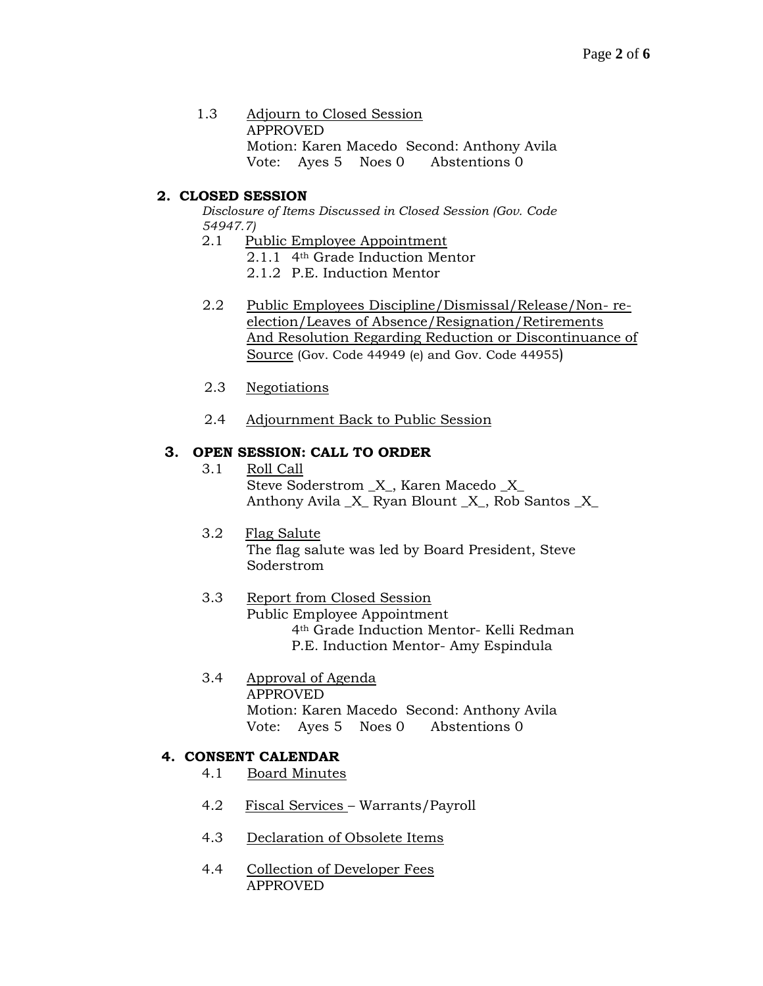1.3 Adjourn to Closed Session APPROVED Motion: Karen Macedo Second: Anthony Avila Vote: Ayes 5 Noes 0 Abstentions 0

# **2. CLOSED SESSION**

*Disclosure of Items Discussed in Closed Session (Gov. Code 54947.7)*

- 2.1 Public Employee Appointment
	- 2.1.1 4th Grade Induction Mentor
	- 2.1.2 P.E. Induction Mentor
- 2.2 Public Employees Discipline/Dismissal/Release/Non- reelection/Leaves of Absence/Resignation/Retirements And Resolution Regarding Reduction or Discontinuance of Source (Gov. Code 44949 (e) and Gov. Code 44955)
- 2.3 Negotiations
- 2.4 Adjournment Back to Public Session

# **3. OPEN SESSION: CALL TO ORDER**

- 3.1 Roll Call Steve Soderstrom \_X\_, Karen Macedo \_X\_ Anthony Avila  $X$  Ryan Blount  $X$ , Rob Santos  $X$
- 3.2 Flag Salute The flag salute was led by Board President, Steve Soderstrom

### 3.3 Report from Closed Session Public Employee Appointment 4th Grade Induction Mentor- Kelli Redman P.E. Induction Mentor- Amy Espindula

3.4 Approval of Agenda APPROVED Motion: Karen Macedo Second: Anthony Avila Vote: Ayes 5 Noes 0 Abstentions 0

### **4. CONSENT CALENDAR**

- 4.1 Board Minutes
- 4.2 Fiscal Services Warrants/Payroll
- 4.3 Declaration of Obsolete Items
- 4.4 Collection of Developer Fees APPROVED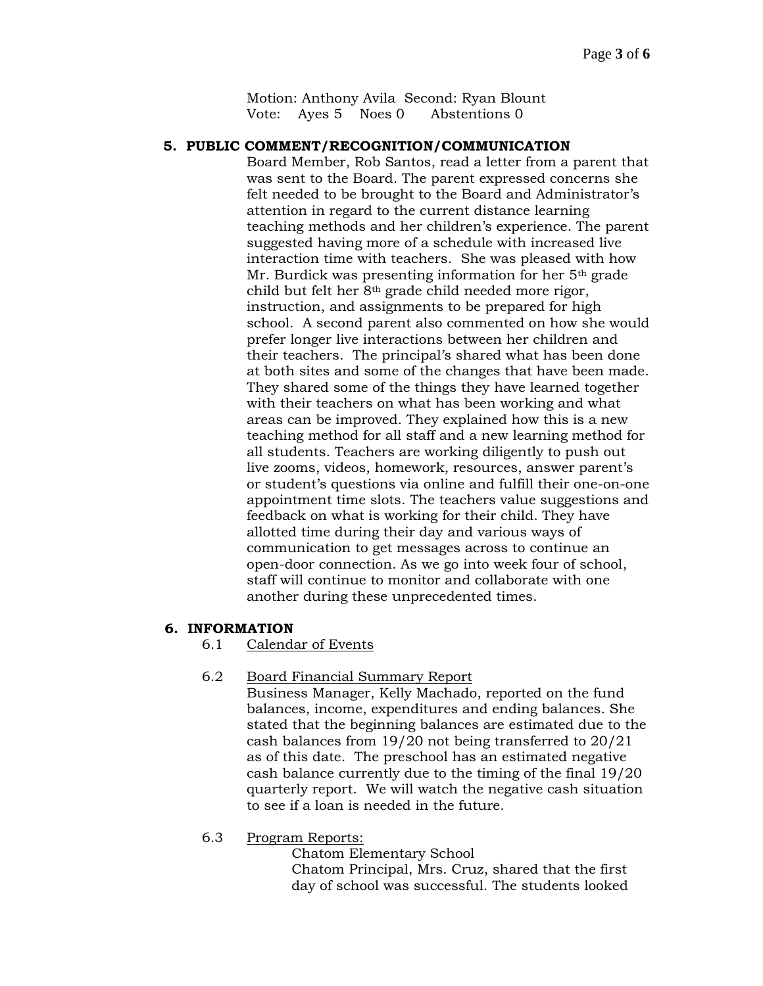Motion: Anthony Avila Second: Ryan Blount Vote: Ayes 5 Noes 0 Abstentions 0

### **5. PUBLIC COMMENT/RECOGNITION/COMMUNICATION**

Board Member, Rob Santos, read a letter from a parent that was sent to the Board. The parent expressed concerns she felt needed to be brought to the Board and Administrator's attention in regard to the current distance learning teaching methods and her children's experience. The parent suggested having more of a schedule with increased live interaction time with teachers. She was pleased with how Mr. Burdick was presenting information for her 5th grade child but felt her 8th grade child needed more rigor, instruction, and assignments to be prepared for high school. A second parent also commented on how she would prefer longer live interactions between her children and their teachers. The principal's shared what has been done at both sites and some of the changes that have been made. They shared some of the things they have learned together with their teachers on what has been working and what areas can be improved. They explained how this is a new teaching method for all staff and a new learning method for all students. Teachers are working diligently to push out live zooms, videos, homework, resources, answer parent's or student's questions via online and fulfill their one-on-one appointment time slots. The teachers value suggestions and feedback on what is working for their child. They have allotted time during their day and various ways of communication to get messages across to continue an open-door connection. As we go into week four of school, staff will continue to monitor and collaborate with one another during these unprecedented times.

#### **6. INFORMATION**

6.1 Calendar of Events

### 6.2 Board Financial Summary Report

Business Manager, Kelly Machado, reported on the fund balances, income, expenditures and ending balances. She stated that the beginning balances are estimated due to the cash balances from 19/20 not being transferred to 20/21 as of this date. The preschool has an estimated negative cash balance currently due to the timing of the final 19/20 quarterly report. We will watch the negative cash situation to see if a loan is needed in the future.

6.3 Program Reports:

Chatom Elementary School Chatom Principal, Mrs. Cruz, shared that the first day of school was successful. The students looked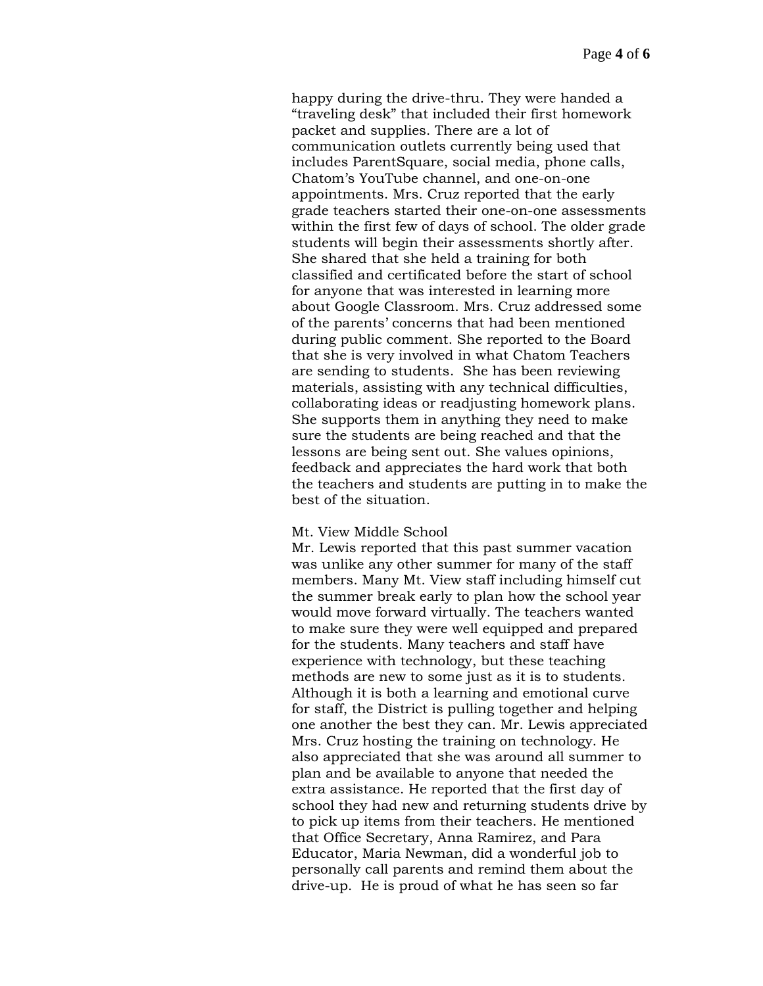happy during the drive-thru. They were handed a "traveling desk" that included their first homework packet and supplies. There are a lot of communication outlets currently being used that includes ParentSquare, social media, phone calls, Chatom's YouTube channel, and one-on-one appointments. Mrs. Cruz reported that the early grade teachers started their one-on-one assessments within the first few of days of school. The older grade students will begin their assessments shortly after. She shared that she held a training for both classified and certificated before the start of school for anyone that was interested in learning more about Google Classroom. Mrs. Cruz addressed some of the parents' concerns that had been mentioned during public comment. She reported to the Board that she is very involved in what Chatom Teachers are sending to students. She has been reviewing materials, assisting with any technical difficulties, collaborating ideas or readjusting homework plans. She supports them in anything they need to make sure the students are being reached and that the lessons are being sent out. She values opinions, feedback and appreciates the hard work that both the teachers and students are putting in to make the best of the situation.

#### Mt. View Middle School

Mr. Lewis reported that this past summer vacation was unlike any other summer for many of the staff members. Many Mt. View staff including himself cut the summer break early to plan how the school year would move forward virtually. The teachers wanted to make sure they were well equipped and prepared for the students. Many teachers and staff have experience with technology, but these teaching methods are new to some just as it is to students. Although it is both a learning and emotional curve for staff, the District is pulling together and helping one another the best they can. Mr. Lewis appreciated Mrs. Cruz hosting the training on technology. He also appreciated that she was around all summer to plan and be available to anyone that needed the extra assistance. He reported that the first day of school they had new and returning students drive by to pick up items from their teachers. He mentioned that Office Secretary, Anna Ramirez, and Para Educator, Maria Newman, did a wonderful job to personally call parents and remind them about the drive-up. He is proud of what he has seen so far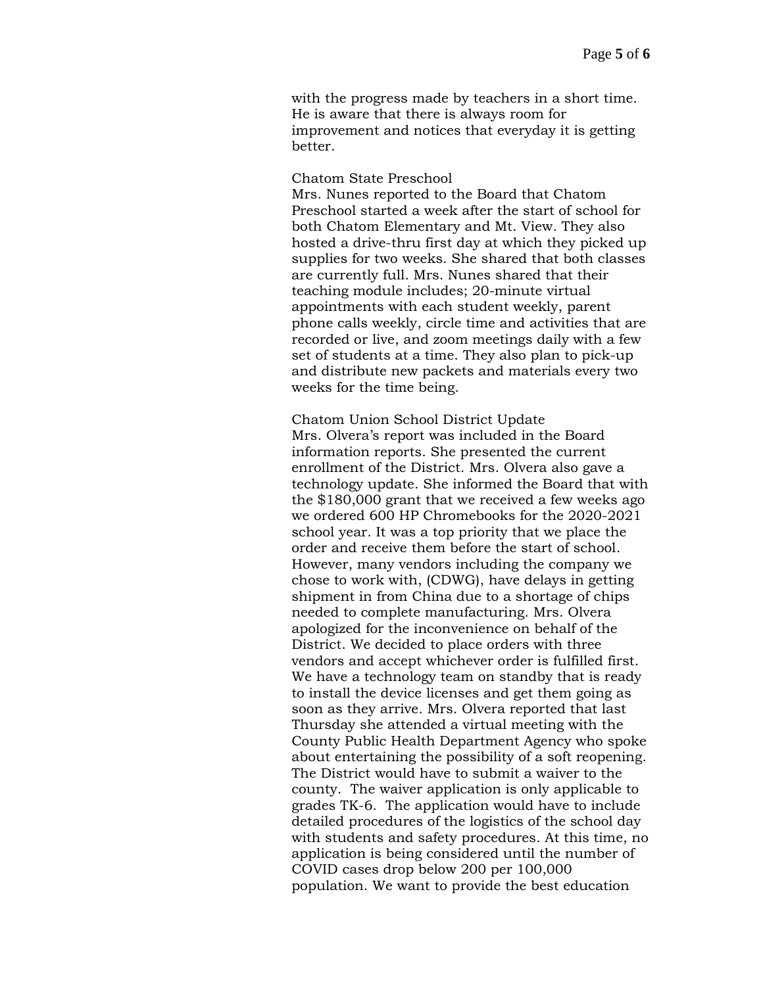with the progress made by teachers in a short time. He is aware that there is always room for improvement and notices that everyday it is getting better.

Chatom State Preschool

Mrs. Nunes reported to the Board that Chatom Preschool started a week after the start of school for both Chatom Elementary and Mt. View. They also hosted a drive-thru first day at which they picked up supplies for two weeks. She shared that both classes are currently full. Mrs. Nunes shared that their teaching module includes; 20-minute virtual appointments with each student weekly, parent phone calls weekly, circle time and activities that are recorded or live, and zoom meetings daily with a few set of students at a time. They also plan to pick-up and distribute new packets and materials every two weeks for the time being.

Chatom Union School District Update Mrs. Olvera's report was included in the Board information reports. She presented the current enrollment of the District. Mrs. Olvera also gave a technology update. She informed the Board that with the \$180,000 grant that we received a few weeks ago we ordered 600 HP Chromebooks for the 2020-2021 school year. It was a top priority that we place the order and receive them before the start of school. However, many vendors including the company we chose to work with, (CDWG), have delays in getting shipment in from China due to a shortage of chips needed to complete manufacturing. Mrs. Olvera apologized for the inconvenience on behalf of the District. We decided to place orders with three vendors and accept whichever order is fulfilled first. We have a technology team on standby that is ready to install the device licenses and get them going as soon as they arrive. Mrs. Olvera reported that last Thursday she attended a virtual meeting with the County Public Health Department Agency who spoke about entertaining the possibility of a soft reopening. The District would have to submit a waiver to the county. The waiver application is only applicable to grades TK-6. The application would have to include detailed procedures of the logistics of the school day with students and safety procedures. At this time, no application is being considered until the number of COVID cases drop below 200 per 100,000 population. We want to provide the best education